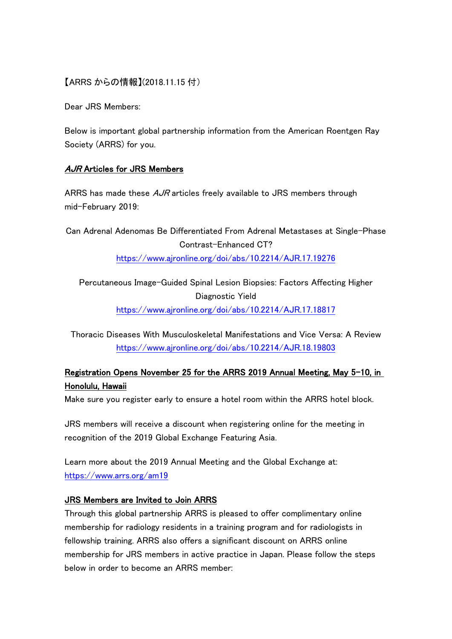## 【ARRS からの情報】(2018.11.15 付)

Dear JRS Members:

Below is important global partnership information from the American Roentgen Ray Society (ARRS) for you.

## AJR Articles for JRS Members

ARRS has made these  $AJR$  articles freely available to JRS members through mid-February 2019:

Can Adrenal Adenomas Be Differentiated From Adrenal Metastases at Single-Phase Contrast-Enhanced CT? <https://www.ajronline.org/doi/abs/10.2214/AJR.17.19276>

Percutaneous Image-Guided Spinal Lesion Biopsies: Factors Affecting Higher Diagnostic Yield <https://www.ajronline.org/doi/abs/10.2214/AJR.17.18817>

Thoracic Diseases With Musculoskeletal Manifestations and Vice Versa: A Review <https://www.ajronline.org/doi/abs/10.2214/AJR.18.19803>

## Registration Opens November 25 for the ARRS 2019 Annual Meeting, May 5-10, in Honolulu, Hawaii

Make sure you register early to ensure a hotel room within the ARRS hotel block.

JRS members will receive a discount when registering online for the meeting in recognition of the 2019 Global Exchange Featuring Asia.

Learn more about the 2019 Annual Meeting and the Global Exchange at: <https://www.arrs.org/am19>

## JRS Members are Invited to Join ARRS

Through this global partnership ARRS is pleased to offer complimentary online membership for radiology residents in a training program and for radiologists in fellowship training. ARRS also offers a significant discount on ARRS online membership for JRS members in active practice in Japan. Please follow the steps below in order to become an ARRS member: